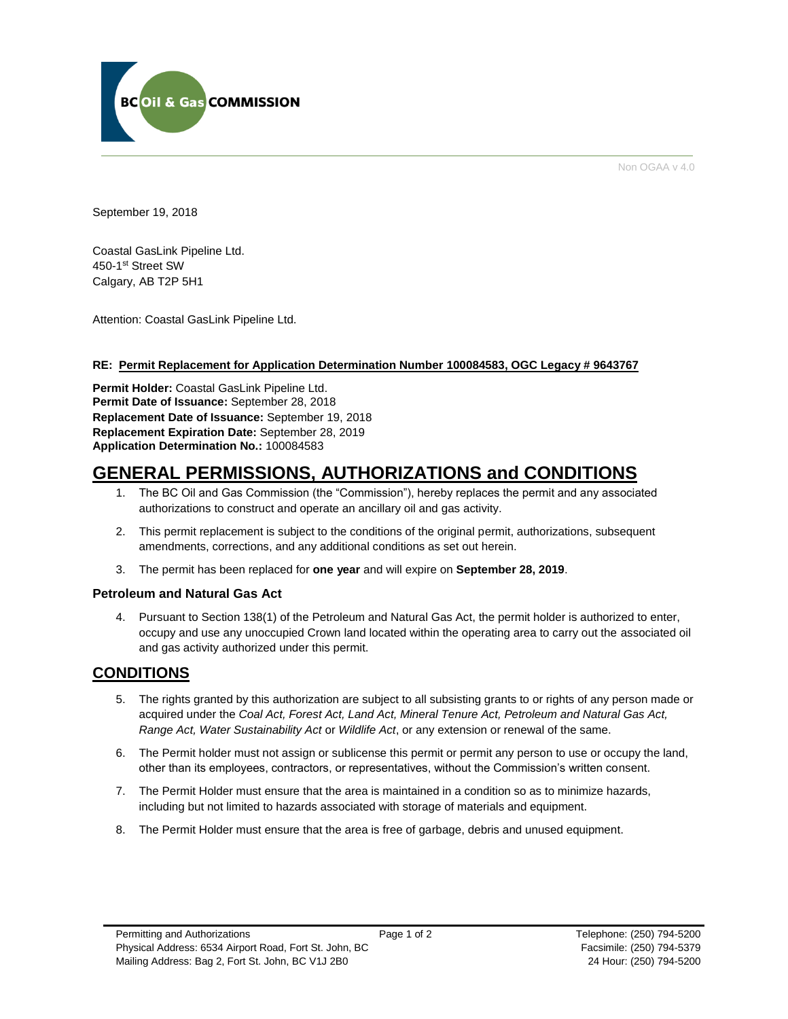

Non OGAA v 4.0

September 19, 2018

Coastal GasLink Pipeline Ltd. 450-1st Street SW Calgary, AB T2P 5H1

Attention: Coastal GasLink Pipeline Ltd.

## **RE: Permit Replacement for Application Determination Number 100084583, OGC Legacy # 9643767**

**Permit Holder:** Coastal GasLink Pipeline Ltd. **Permit Date of Issuance:** September 28, 2018 **Replacement Date of Issuance:** September 19, 2018 **Replacement Expiration Date:** September 28, 2019 **Application Determination No.:** 100084583

# **GENERAL PERMISSIONS, AUTHORIZATIONS and CONDITIONS**

- 1. The BC Oil and Gas Commission (the "Commission"), hereby replaces the permit and any associated authorizations to construct and operate an ancillary oil and gas activity.
- 2. This permit replacement is subject to the conditions of the original permit, authorizations, subsequent amendments, corrections, and any additional conditions as set out herein.
- 3. The permit has been replaced for **one year** and will expire on **September 28, 2019**.

## **Petroleum and Natural Gas Act**

4. Pursuant to Section 138(1) of the Petroleum and Natural Gas Act, the permit holder is authorized to enter, occupy and use any unoccupied Crown land located within the operating area to carry out the associated oil and gas activity authorized under this permit.

## **CONDITIONS**

- 5. The rights granted by this authorization are subject to all subsisting grants to or rights of any person made or acquired under the *Coal Act, Forest Act, Land Act, Mineral Tenure Act, Petroleum and Natural Gas Act, Range Act, Water Sustainability Act* or *Wildlife Act*, or any extension or renewal of the same.
- 6. The Permit holder must not assign or sublicense this permit or permit any person to use or occupy the land, other than its employees, contractors, or representatives, without the Commission's written consent.
- 7. The Permit Holder must ensure that the area is maintained in a condition so as to minimize hazards, including but not limited to hazards associated with storage of materials and equipment.
- 8. The Permit Holder must ensure that the area is free of garbage, debris and unused equipment.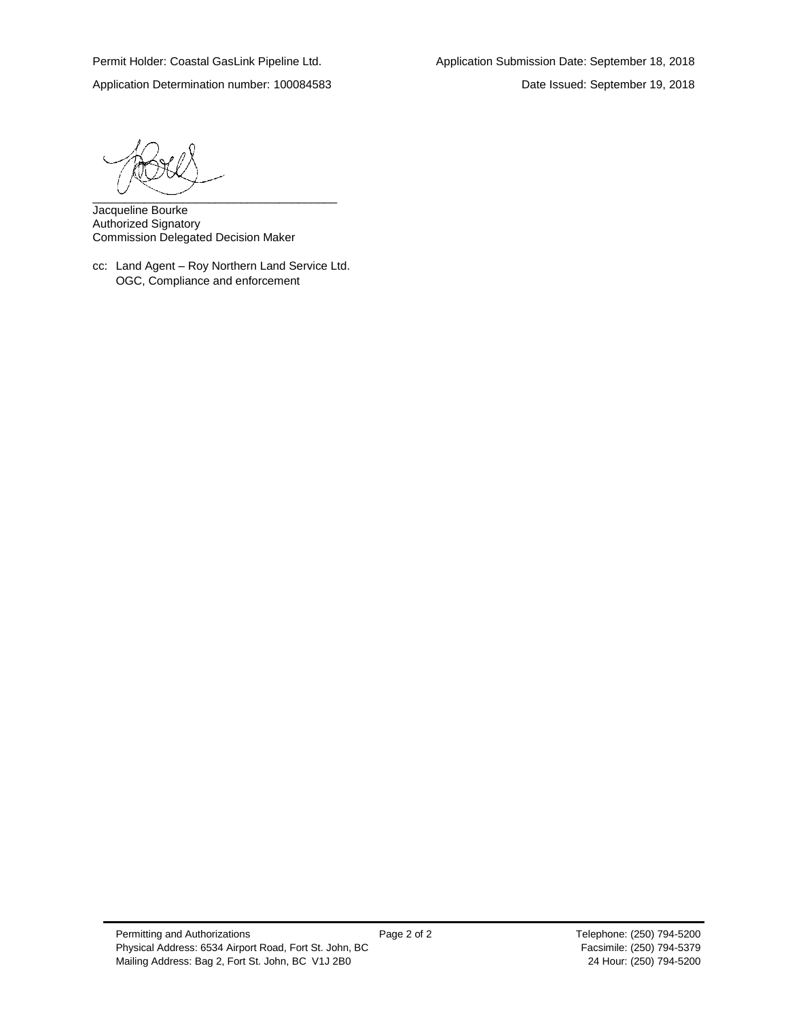Application Determination number: 100084583 Date Issued: September 19, 2018

 $\overbrace{\phantom{xxxxx}}$ 

Jacqueline Bourke Authorized Signatory Commission Delegated Decision Maker

cc: Land Agent – Roy Northern Land Service Ltd. OGC, Compliance and enforcement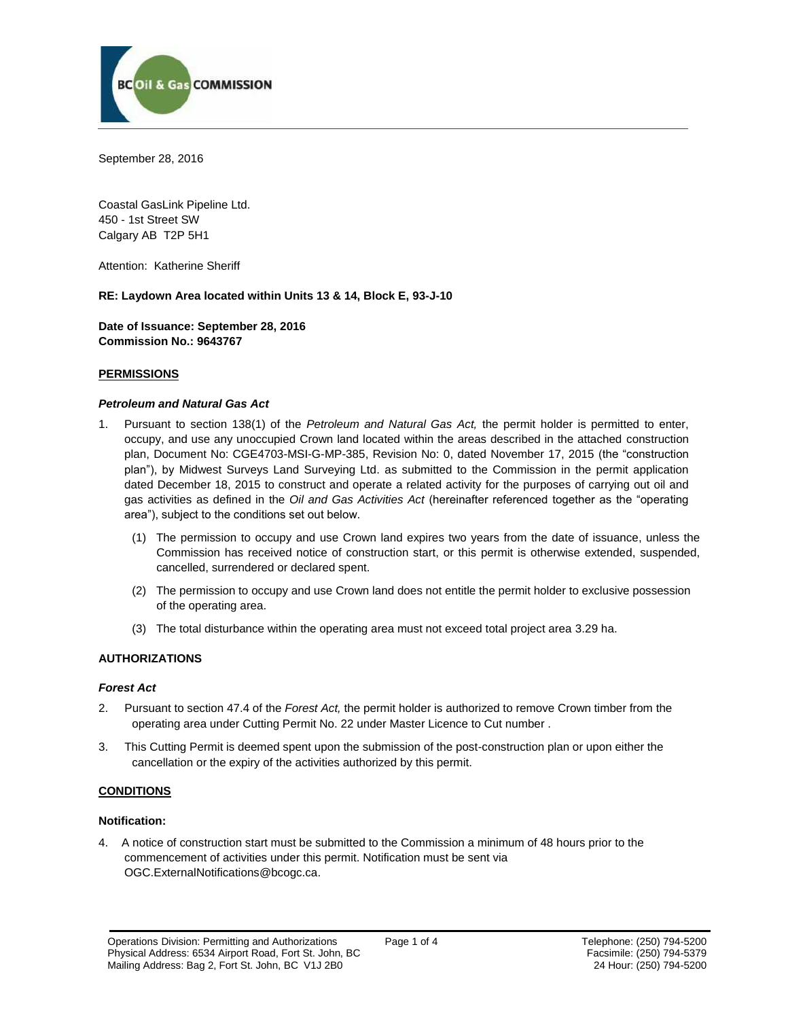

September 28, 2016

Coastal GasLink Pipeline Ltd. 450 - 1st Street SW Calgary AB T2P 5H1

Attention: Katherine Sheriff

#### **RE: Laydown Area located within Units 13 & 14, Block E, 93-J-10**

**Date of Issuance: September 28, 2016 Commission No.: 9643767**

#### **PERMISSIONS**

#### *Petroleum and Natural Gas Act*

- 1. Pursuant to section 138(1) of the *Petroleum and Natural Gas Act,* the permit holder is permitted to enter, occupy, and use any unoccupied Crown land located within the areas described in the attached construction plan, Document No: CGE4703-MSI-G-MP-385, Revision No: 0, dated November 17, 2015 (the "construction plan"), by Midwest Surveys Land Surveying Ltd. as submitted to the Commission in the permit application dated December 18, 2015 to construct and operate a related activity for the purposes of carrying out oil and gas activities as defined in the *Oil and Gas Activities Act* (hereinafter referenced together as the "operating area"), subject to the conditions set out below.
	- (1) The permission to occupy and use Crown land expires two years from the date of issuance, unless the Commission has received notice of construction start, or this permit is otherwise extended, suspended, cancelled, surrendered or declared spent.
	- (2) The permission to occupy and use Crown land does not entitle the permit holder to exclusive possession of the operating area.
	- (3) The total disturbance within the operating area must not exceed total project area 3.29 ha.

## **AUTHORIZATIONS**

#### *Forest Act*

- 2. Pursuant to section 47.4 of the *Forest Act,* the permit holder is authorized to remove Crown timber from the operating area under Cutting Permit No. 22 under Master Licence to Cut number .
- 3. This Cutting Permit is deemed spent upon the submission of the post-construction plan or upon either the cancellation or the expiry of the activities authorized by this permit.

## **CONDITIONS**

#### **Notification:**

4. A notice of construction start must be submitted to the Commission a minimum of 48 hours prior to the commencement of activities under this permit. Notification must be sent via [OGC.ExternalNotifications@bcogc.ca.](mailto:OGC.ExternalNotifications@bcogc.ca)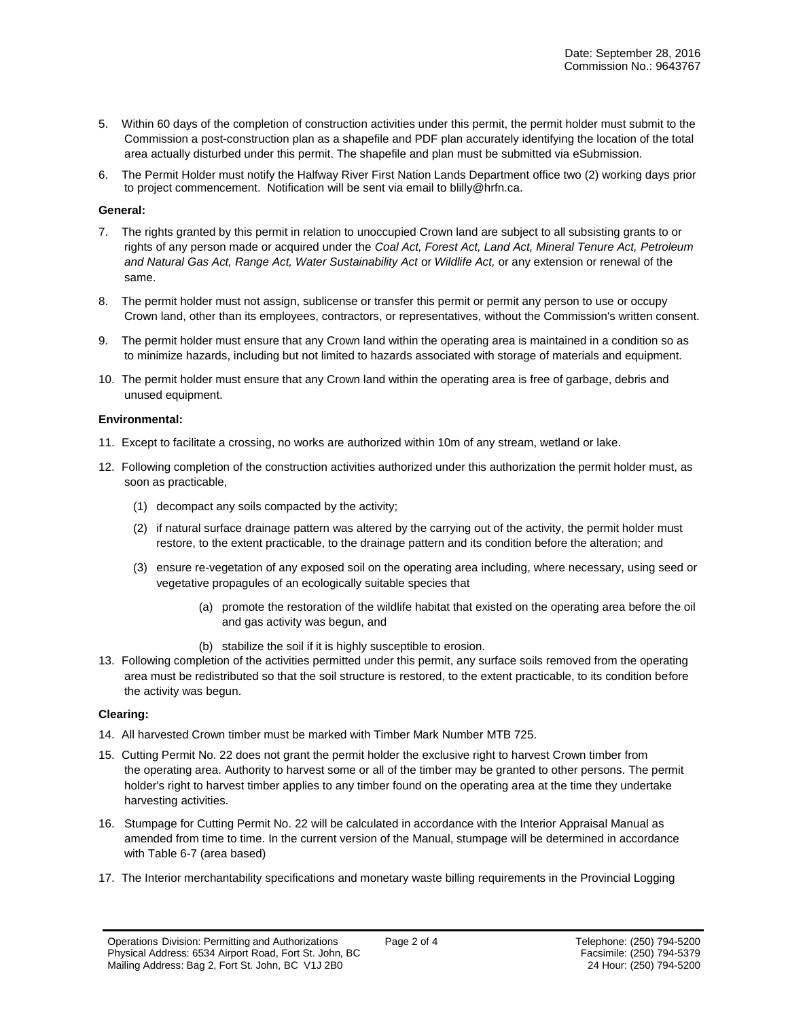- 5. Within 60 days of the completion of construction activities under this permit, the permit holder must submit to the Commission a post-construction plan as a shapefile and PDF plan accurately identifying the location of the total area actually disturbed under this permit. The shapefile and plan must be submitted via eSubmission.
- 6. The Permit Holder must notify the Halfway River First Nation Lands Department office two (2) working days prior to project commencement. Notification will be sent via email to blilly@hrfn.ca.

#### **General:**

- 7. The rights granted by this permit in relation to unoccupied Crown land are subject to all subsisting grants to or rights of any person made or acquired under the *Coal Act, Forest Act, Land Act, Mineral Tenure Act, Petroleum and Natural Gas Act, Range Act, Water Sustainability Act* or *Wildlife Act,* or any extension or renewal of the same.
- 8. The permit holder must not assign, sublicense or transfer this permit or permit any person to use or occupy Crown land, other than its employees, contractors, or representatives, without the Commission's written consent.
- 9. The permit holder must ensure that any Crown land within the operating area is maintained in a condition so as to minimize hazards, including but not limited to hazards associated with storage of materials and equipment.
- 10. The permit holder must ensure that any Crown land within the operating area is free of garbage, debris and unused equipment.

#### **Environmental:**

- 11. Except to facilitate a crossing, no works are authorized within 10m of any stream, wetland or lake.
- 12. Following completion of the construction activities authorized under this authorization the permit holder must, as soon as practicable,
	- (1) decompact any soils compacted by the activity;
	- (2) if natural surface drainage pattern was altered by the carrying out of the activity, the permit holder must restore, to the extent practicable, to the drainage pattern and its condition before the alteration; and
	- (3) ensure re-vegetation of any exposed soil on the operating area including, where necessary, using seed or vegetative propagules of an ecologically suitable species that
		- (a) promote the restoration of the wildlife habitat that existed on the operating area before the oil and gas activity was begun, and
		- (b) stabilize the soil if it is highly susceptible to erosion.
- 13. Following completion of the activities permitted under this permit, any surface soils removed from the operating area must be redistributed so that the soil structure is restored, to the extent practicable, to its condition before the activity was begun.

## **Clearing:**

- 14. All harvested Crown timber must be marked with Timber Mark Number MTB 725.
- 15. Cutting Permit No. 22 does not grant the permit holder the exclusive right to harvest Crown timber from the operating area. Authority to harvest some or all of the timber may be granted to other persons. The permit holder's right to harvest timber applies to any timber found on the operating area at the time they undertake harvesting activities.
- 16. Stumpage for Cutting Permit No. 22 will be calculated in accordance with the Interior Appraisal Manual as amended from time to time. In the current version of the Manual, stumpage will be determined in accordance with Table 6-7 (area based)
- 17. The Interior merchantability specifications and monetary waste billing requirements in the Provincial Logging